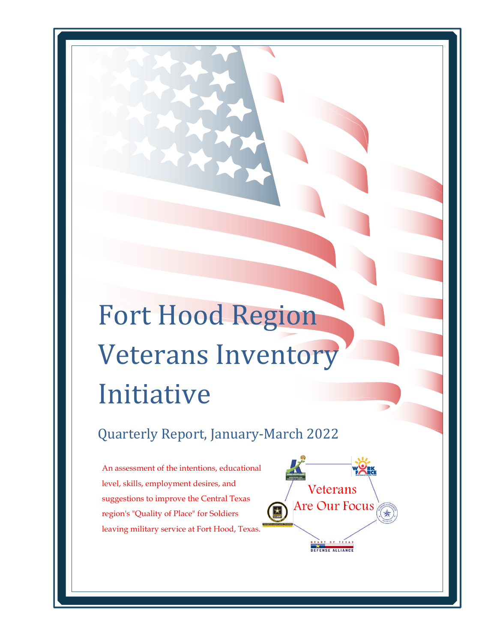# Fort Hood Region Veterans Inventory Initiative

Quarterly Report, January-March 2022

Veterans

Are Our Focus

An assessment of the intentions, educational level, skills, employment desires, and suggestions to improve the Central Texas region's "Quality of Place" for Soldiers leaving military service at Fort Hood, Texas.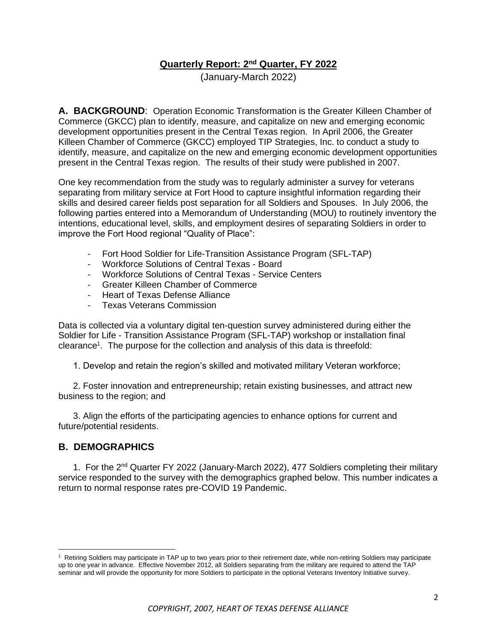#### **Quarterly Report: 2 nd Quarter, FY 2022**

(January-March 2022)

**A. BACKGROUND**: Operation Economic Transformation is the Greater Killeen Chamber of Commerce (GKCC) plan to identify, measure, and capitalize on new and emerging economic development opportunities present in the Central Texas region. In April 2006, the Greater Killeen Chamber of Commerce (GKCC) employed TIP Strategies, Inc. to conduct a study to identify, measure, and capitalize on the new and emerging economic development opportunities present in the Central Texas region. The results of their study were published in 2007.

One key recommendation from the study was to regularly administer a survey for veterans separating from military service at Fort Hood to capture insightful information regarding their skills and desired career fields post separation for all Soldiers and Spouses. In July 2006, the following parties entered into a Memorandum of Understanding (MOU) to routinely inventory the intentions, educational level, skills, and employment desires of separating Soldiers in order to improve the Fort Hood regional "Quality of Place":

- Fort Hood Soldier for Life-Transition Assistance Program (SFL-TAP)
- Workforce Solutions of Central Texas Board
- Workforce Solutions of Central Texas Service Centers
- Greater Killeen Chamber of Commerce
- Heart of Texas Defense Alliance
- Texas Veterans Commission

Data is collected via a voluntary digital ten-question survey administered during either the Soldier for Life - Transition Assistance Program (SFL-TAP) workshop or installation final clearance<sup>1</sup>. The purpose for the collection and analysis of this data is threefold:

1. Develop and retain the region's skilled and motivated military Veteran workforce;

2. Foster innovation and entrepreneurship; retain existing businesses, and attract new business to the region; and

3. Align the efforts of the participating agencies to enhance options for current and future/potential residents.

#### **B. DEMOGRAPHICS**

1. For the 2<sup>nd</sup> Quarter FY 2022 (January-March 2022), 477 Soldiers completing their military service responded to the survey with the demographics graphed below. This number indicates a return to normal response rates pre-COVID 19 Pandemic.

<sup>&</sup>lt;sup>1</sup> Retiring Soldiers may participate in TAP up to two years prior to their retirement date, while non-retiring Soldiers may participate up to one year in advance. Effective November 2012, all Soldiers separating from the military are required to attend the TAP seminar and will provide the opportunity for more Soldiers to participate in the optional Veterans Inventory Initiative survey.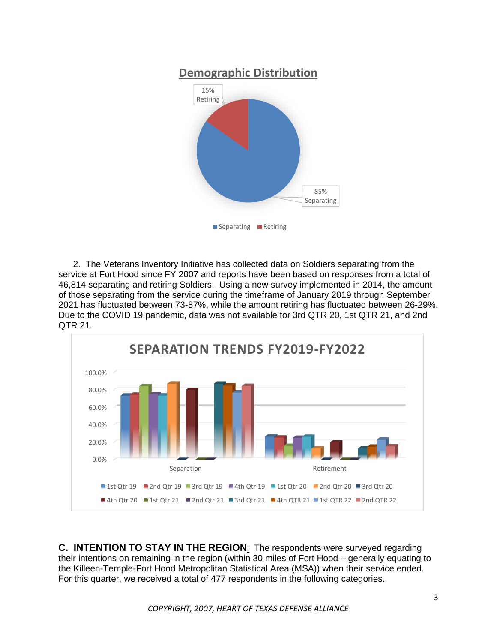

2. The Veterans Inventory Initiative has collected data on Soldiers separating from the service at Fort Hood since FY 2007 and reports have been based on responses from a total of 46,814 separating and retiring Soldiers. Using a new survey implemented in 2014, the amount of those separating from the service during the timeframe of January 2019 through September 2021 has fluctuated between 73-87%, while the amount retiring has fluctuated between 26-29%. Due to the COVID 19 pandemic, data was not available for 3rd QTR 20, 1st QTR 21, and 2nd QTR 21.



**C. INTENTION TO STAY IN THE REGION**: The respondents were surveyed regarding their intentions on remaining in the region (within 30 miles of Fort Hood – generally equating to the Killeen-Temple-Fort Hood Metropolitan Statistical Area (MSA)) when their service ended. For this quarter, we received a total of 477 respondents in the following categories.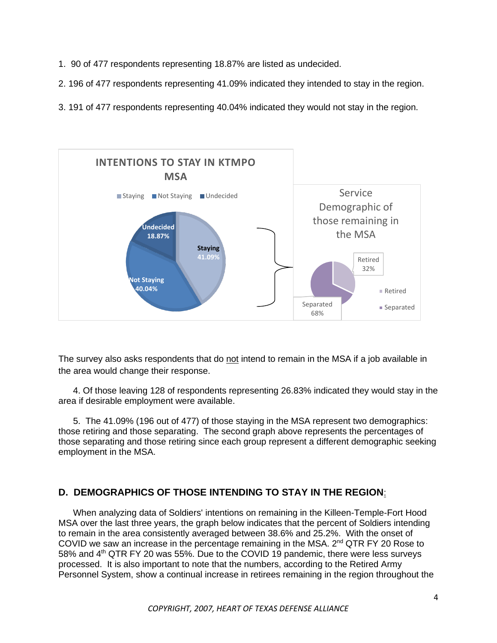- 1. 90 of 477 respondents representing 18.87% are listed as undecided.
- 2. 196 of 477 respondents representing 41.09% indicated they intended to stay in the region.
- 3. 191 of 477 respondents representing 40.04% indicated they would not stay in the region.



The survey also asks respondents that do not intend to remain in the MSA if a job available in the area would change their response.

4. Of those leaving 128 of respondents representing 26.83% indicated they would stay in the area if desirable employment were available.

5. The 41.09% (196 out of 477) of those staying in the MSA represent two demographics: those retiring and those separating. The second graph above represents the percentages of those separating and those retiring since each group represent a different demographic seeking employment in the MSA.

#### **D. DEMOGRAPHICS OF THOSE INTENDING TO STAY IN THE REGION**:

When analyzing data of Soldiers' intentions on remaining in the Killeen-Temple-Fort Hood MSA over the last three years, the graph below indicates that the percent of Soldiers intending to remain in the area consistently averaged between 38.6% and 25.2%. With the onset of COVID we saw an increase in the percentage remaining in the MSA. 2<sup>nd</sup> QTR FY 20 Rose to 58% and 4<sup>th</sup> QTR FY 20 was 55%. Due to the COVID 19 pandemic, there were less surveys processed. It is also important to note that the numbers, according to the Retired Army Personnel System, show a continual increase in retirees remaining in the region throughout the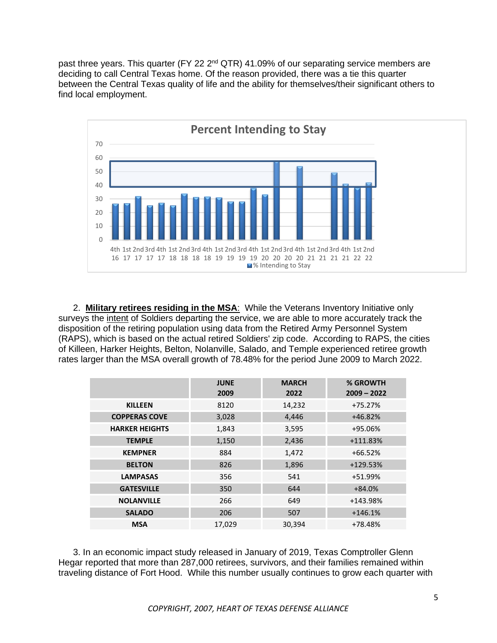past three years. This quarter (FY 22 2<sup>nd</sup> QTR) 41.09% of our separating service members are deciding to call Central Texas home. Of the reason provided, there was a tie this quarter between the Central Texas quality of life and the ability for themselves/their significant others to find local employment.



2. **Military retirees residing in the MSA**: While the Veterans Inventory Initiative only surveys the intent of Soldiers departing the service, we are able to more accurately track the disposition of the retiring population using data from the Retired Army Personnel System (RAPS), which is based on the actual retired Soldiers' zip code. According to RAPS, the cities of Killeen, Harker Heights, Belton, Nolanville, Salado, and Temple experienced retiree growth rates larger than the MSA overall growth of 78.48% for the period June 2009 to March 2022.

|                       | <b>JUNE</b><br>2009 | <b>MARCH</b><br>2022 | % GROWTH<br>$2009 - 2022$ |
|-----------------------|---------------------|----------------------|---------------------------|
| <b>KILLEEN</b>        | 8120                | 14,232               | $+75.27%$                 |
| <b>COPPERAS COVE</b>  | 3,028               | 4,446                | +46.82%                   |
| <b>HARKER HEIGHTS</b> | 1,843               | 3,595                | +95.06%                   |
| <b>TEMPLE</b>         | 1,150               | 2,436                | $+111.83%$                |
| <b>KEMPNER</b>        | 884                 | 1,472                | $+66.52%$                 |
| <b>BELTON</b>         | 826                 | 1,896                | +129.53%                  |
| <b>LAMPASAS</b>       | 356                 | 541                  | +51.99%                   |
| <b>GATESVILLE</b>     | 350                 | 644                  | $+84.0%$                  |
| <b>NOLANVILLE</b>     | 266                 | 649                  | +143.98%                  |
| <b>SALADO</b>         | 206                 | 507                  | $+146.1%$                 |
| <b>MSA</b>            | 17,029              | 30,394               | +78.48%                   |

3. In an economic impact study released in January of 2019, Texas Comptroller Glenn Hegar reported that more than 287,000 retirees, survivors, and their families remained within traveling distance of Fort Hood. While this number usually continues to grow each quarter with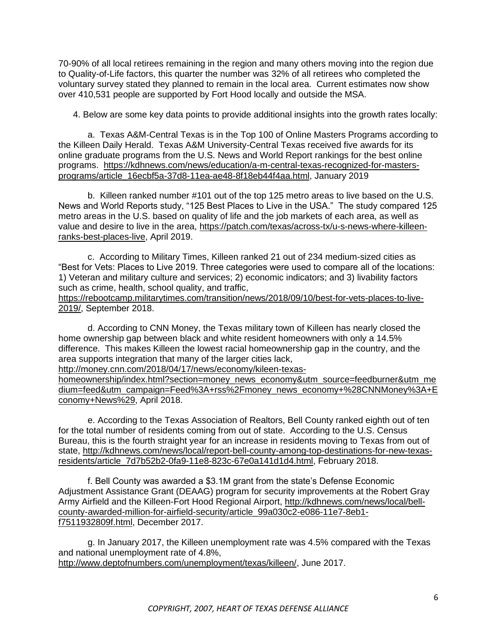70-90% of all local retirees remaining in the region and many others moving into the region due to Quality-of-Life factors, this quarter the number was 32% of all retirees who completed the voluntary survey stated they planned to remain in the local area. Current estimates now show over 410,531 people are supported by Fort Hood locally and outside the MSA.

4. Below are some key data points to provide additional insights into the growth rates locally:

a. Texas A&M-Central Texas is in the Top 100 of Online Masters Programs according to the Killeen Daily Herald. Texas A&M University-Central Texas received five awards for its online graduate programs from the U.S. News and World Report rankings for the best online programs. https://kdhnews.com/news/education/a-m-central-texas-recognized-for-mastersprograms/article\_16ecbf5a-37d8-11ea-ae48-8f18eb44f4aa.html, January 2019

b. Killeen ranked number #101 out of the top 125 metro areas to live based on the U.S. News and World Reports study, "125 Best Places to Live in the USA." The study compared 125 metro areas in the U.S. based on quality of life and the job markets of each area, as well as value and desire to live in the area, https://patch.com/texas/across-tx/u-s-news-where-killeenranks-best-places-live, April 2019.

c. According to Military Times, Killeen ranked 21 out of 234 medium-sized cities as "Best for Vets: Places to Live 2019. Three categories were used to compare all of the locations: 1) Veteran and military culture and services; 2) economic indicators; and 3) livability factors such as crime, health, school quality, and traffic,

https://rebootcamp.militarytimes.com/transition/news/2018/09/10/best-for-vets-places-to-live-2019/, September 2018.

d. According to CNN Money, the Texas military town of Killeen has nearly closed the home ownership gap between black and white resident homeowners with only a 14.5% difference. This makes Killeen the lowest racial homeownership gap in the country, and the area supports integration that many of the larger cities lack,

http://money.cnn.com/2018/04/17/news/economy/kileen-texas-

homeownership/index.html?section=money\_news\_economy&utm\_source=feedburner&utm\_me dium=feed&utm\_campaign=Feed%3A+rss%2Fmoney\_news\_economy+%28CNNMoney%3A+E conomy+News%29, April 2018.

e. According to the Texas Association of Realtors, Bell County ranked eighth out of ten for the total number of residents coming from out of state. According to the U.S. Census Bureau, this is the fourth straight year for an increase in residents moving to Texas from out of state, http://kdhnews.com/news/local/report-bell-county-among-top-destinations-for-new-texasresidents/article\_7d7b52b2-0fa9-11e8-823c-67e0a141d1d4.html, February 2018.

f. Bell County was awarded a \$3.1M grant from the state's Defense Economic Adjustment Assistance Grant (DEAAG) program for security improvements at the Robert Gray Army Airfield and the Killeen-Fort Hood Regional Airport, http://kdhnews.com/news/local/bellcounty-awarded-million-for-airfield-security/article\_99a030c2-e086-11e7-8eb1 f7511932809f.html, December 2017.

g. In January 2017, the Killeen unemployment rate was 4.5% compared with the Texas and national unemployment rate of 4.8%, http://www.deptofnumbers.com/unemployment/texas/killeen/, June 2017.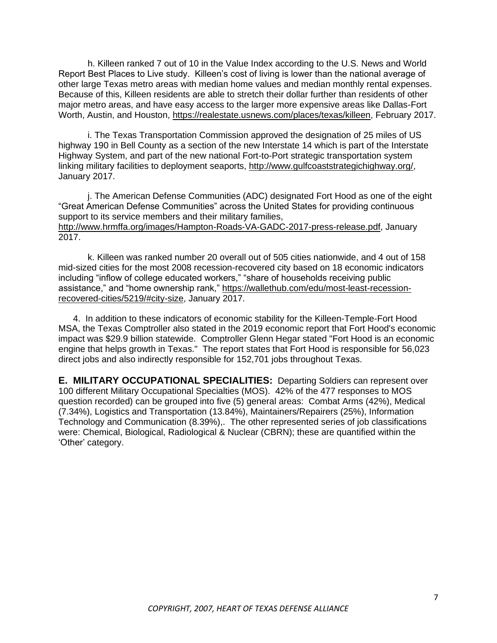h. Killeen ranked 7 out of 10 in the Value Index according to the U.S. News and World Report Best Places to Live study. Killeen's cost of living is lower than the national average of other large Texas metro areas with median home values and median monthly rental expenses. Because of this, Killeen residents are able to stretch their dollar further than residents of other major metro areas, and have easy access to the larger more expensive areas like Dallas-Fort Worth, Austin, and Houston, https://realestate.usnews.com/places/texas/killeen, February 2017.

i. The Texas Transportation Commission approved the designation of 25 miles of US highway 190 in Bell County as a section of the new Interstate 14 which is part of the Interstate Highway System, and part of the new national Fort-to-Port strategic transportation system linking military facilities to deployment seaports, http://www.gulfcoaststrategichighway.org/, January 2017.

j. The American Defense Communities (ADC) designated Fort Hood as one of the eight "Great American Defense Communities" across the United States for providing continuous support to its service members and their military families, http://www.hrmffa.org/images/Hampton-Roads-VA-GADC-2017-press-release.pdf, January 2017.

k. Killeen was ranked number 20 overall out of 505 cities nationwide, and 4 out of 158 mid-sized cities for the most 2008 recession-recovered city based on 18 economic indicators including "inflow of college educated workers," "share of households receiving public assistance," and "home ownership rank," https://wallethub.com/edu/most-least-recessionrecovered-cities/5219/#city-size, January 2017.

4. In addition to these indicators of economic stability for the Killeen-Temple-Fort Hood MSA, the Texas Comptroller also stated in the 2019 economic report that Fort Hood's economic impact was \$29.9 billion statewide. Comptroller Glenn Hegar stated "Fort Hood is an economic engine that helps growth in Texas." The report states that Fort Hood is responsible for 56,023 direct jobs and also indirectly responsible for 152,701 jobs throughout Texas.

**E. MILITARY OCCUPATIONAL SPECIALITIES:** Departing Soldiers can represent over 100 different Military Occupational Specialties (MOS). 42% of the 477 responses to MOS question recorded) can be grouped into five (5) general areas: Combat Arms (42%), Medical (7.34%), Logistics and Transportation (13.84%), Maintainers/Repairers (25%), Information Technology and Communication (8.39%),. The other represented series of job classifications were: Chemical, Biological, Radiological & Nuclear (CBRN); these are quantified within the 'Other' category.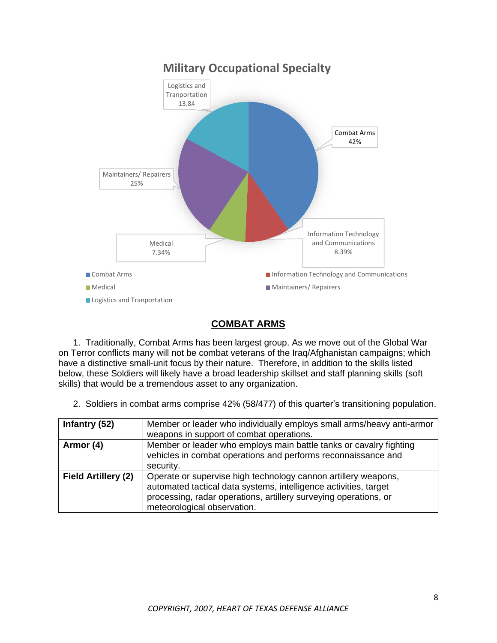

#### **COMBAT ARMS**

1. Traditionally, Combat Arms has been largest group. As we move out of the Global War on Terror conflicts many will not be combat veterans of the Iraq/Afghanistan campaigns; which have a distinctive small-unit focus by their nature. Therefore, in addition to the skills listed below, these Soldiers will likely have a broad leadership skillset and staff planning skills (soft skills) that would be a tremendous asset to any organization.

2. Soldiers in combat arms comprise 42% (58/477) of this quarter's transitioning population.

| Infantry (52)              | Member or leader who individually employs small arms/heavy anti-armor<br>weapons in support of combat operations. |
|----------------------------|-------------------------------------------------------------------------------------------------------------------|
|                            |                                                                                                                   |
| Armor (4)                  | Member or leader who employs main battle tanks or cavalry fighting                                                |
|                            | vehicles in combat operations and performs reconnaissance and                                                     |
|                            | security.                                                                                                         |
| <b>Field Artillery (2)</b> | Operate or supervise high technology cannon artillery weapons,                                                    |
|                            | automated tactical data systems, intelligence activities, target                                                  |
|                            | processing, radar operations, artillery surveying operations, or                                                  |
|                            | meteorological observation.                                                                                       |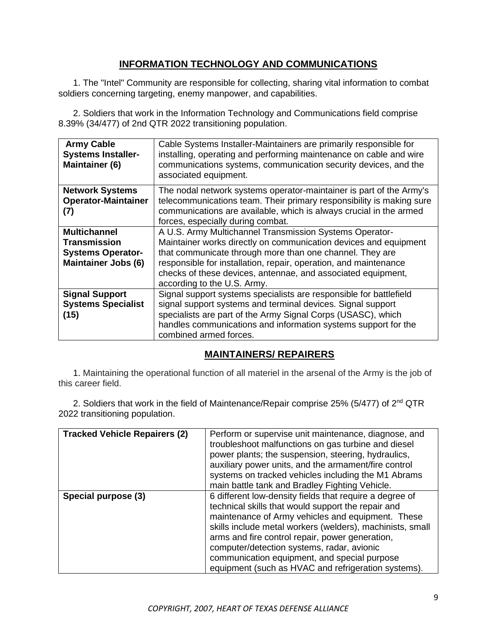#### **INFORMATION TECHNOLOGY AND COMMUNICATIONS**

1. The "Intel" Community are responsible for collecting, sharing vital information to combat soldiers concerning targeting, enemy manpower, and capabilities.

2. Soldiers that work in the Information Technology and Communications field comprise 8.39% (34/477) of 2nd QTR 2022 transitioning population.

| <b>Army Cable</b><br><b>Systems Installer-</b><br>Maintainer (6)                                     | Cable Systems Installer-Maintainers are primarily responsible for<br>installing, operating and performing maintenance on cable and wire<br>communications systems, communication security devices, and the<br>associated equipment.                                                                                                                        |
|------------------------------------------------------------------------------------------------------|------------------------------------------------------------------------------------------------------------------------------------------------------------------------------------------------------------------------------------------------------------------------------------------------------------------------------------------------------------|
| <b>Network Systems</b><br><b>Operator-Maintainer</b><br>(7)                                          | The nodal network systems operator-maintainer is part of the Army's<br>telecommunications team. Their primary responsibility is making sure<br>communications are available, which is always crucial in the armed<br>forces, especially during combat.                                                                                                     |
| <b>Multichannel</b><br><b>Transmission</b><br><b>Systems Operator-</b><br><b>Maintainer Jobs (6)</b> | A U.S. Army Multichannel Transmission Systems Operator-<br>Maintainer works directly on communication devices and equipment<br>that communicate through more than one channel. They are<br>responsible for installation, repair, operation, and maintenance<br>checks of these devices, antennae, and associated equipment,<br>according to the U.S. Army. |
| <b>Signal Support</b><br><b>Systems Specialist</b><br>(15)                                           | Signal support systems specialists are responsible for battlefield<br>signal support systems and terminal devices. Signal support<br>specialists are part of the Army Signal Corps (USASC), which<br>handles communications and information systems support for the<br>combined armed forces.                                                              |

#### **MAINTAINERS/ REPAIRERS**

1. Maintaining the operational function of all materiel in the arsenal of the Army is the job of this career field.

2. Soldiers that work in the field of Maintenance/Repair comprise 25% (5/477) of 2<sup>nd</sup> QTR 2022 transitioning population.

| <b>Tracked Vehicle Repairers (2)</b> | Perform or supervise unit maintenance, diagnose, and<br>troubleshoot malfunctions on gas turbine and diesel<br>power plants; the suspension, steering, hydraulics,<br>auxiliary power units, and the armament/fire control<br>systems on tracked vehicles including the M1 Abrams<br>main battle tank and Bradley Fighting Vehicle.                                                                                                     |
|--------------------------------------|-----------------------------------------------------------------------------------------------------------------------------------------------------------------------------------------------------------------------------------------------------------------------------------------------------------------------------------------------------------------------------------------------------------------------------------------|
| Special purpose (3)                  | 6 different low-density fields that require a degree of<br>technical skills that would support the repair and<br>maintenance of Army vehicles and equipment. These<br>skills include metal workers (welders), machinists, small<br>arms and fire control repair, power generation,<br>computer/detection systems, radar, avionic<br>communication equipment, and special purpose<br>equipment (such as HVAC and refrigeration systems). |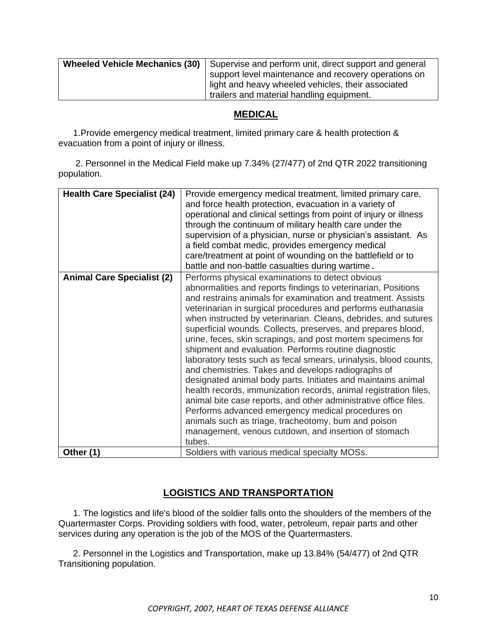| <b>Wheeled Vehicle Mechanics (30)</b> Supervise and perform unit, direct support and general |
|----------------------------------------------------------------------------------------------|
| support level maintenance and recovery operations on                                         |
| light and heavy wheeled vehicles, their associated                                           |
| trailers and material handling equipment.                                                    |

#### **MEDICAL**

1.Provide emergency medical treatment, limited primary care & health protection & evacuation from a point of injury or illness.

2. Personnel in the Medical Field make up 7.34% (27/477) of 2nd QTR 2022 transitioning population.

| <b>Health Care Specialist (24)</b> | Provide emergency medical treatment, limited primary care,<br>and force health protection, evacuation in a variety of<br>operational and clinical settings from point of injury or illness<br>through the continuum of military health care under the<br>supervision of a physician, nurse or physician's assistant. As<br>a field combat medic, provides emergency medical<br>care/treatment at point of wounding on the battlefield or to<br>battle and non-battle casualties during wartime.                                                                                                                                                                                                                                                                                                                                                                                                                                                                                                                           |
|------------------------------------|---------------------------------------------------------------------------------------------------------------------------------------------------------------------------------------------------------------------------------------------------------------------------------------------------------------------------------------------------------------------------------------------------------------------------------------------------------------------------------------------------------------------------------------------------------------------------------------------------------------------------------------------------------------------------------------------------------------------------------------------------------------------------------------------------------------------------------------------------------------------------------------------------------------------------------------------------------------------------------------------------------------------------|
| <b>Animal Care Specialist (2)</b>  | Performs physical examinations to detect obvious<br>abnormalities and reports findings to veterinarian, Positions<br>and restrains animals for examination and treatment. Assists<br>veterinarian in surgical procedures and performs euthanasia<br>when instructed by veterinarian. Cleans, debrides, and sutures<br>superficial wounds. Collects, preserves, and prepares blood,<br>urine, feces, skin scrapings, and post mortem specimens for<br>shipment and evaluation. Performs routine diagnostic<br>laboratory tests such as fecal smears, urinalysis, blood counts,<br>and chemistries. Takes and develops radiographs of<br>designated animal body parts. Initiates and maintains animal<br>health records, immunization records, animal registration files,<br>animal bite case reports, and other administrative office files.<br>Performs advanced emergency medical procedures on<br>animals such as triage, tracheotomy, bum and poison<br>management, venous cutdown, and insertion of stomach<br>tubes. |
| Other (1)                          | Soldiers with various medical specialty MOSs.                                                                                                                                                                                                                                                                                                                                                                                                                                                                                                                                                                                                                                                                                                                                                                                                                                                                                                                                                                             |

#### **LOGISTICS AND TRANSPORTATION**

1. The logistics and life's blood of the soldier falls onto the shoulders of the members of the Quartermaster Corps. Providing soldiers with food, water, petroleum, repair parts and other services during any operation is the job of the MOS of the Quartermasters.

2. Personnel in the Logistics and Transportation, make up 13.84% (54/477) of 2nd QTR Transitioning population.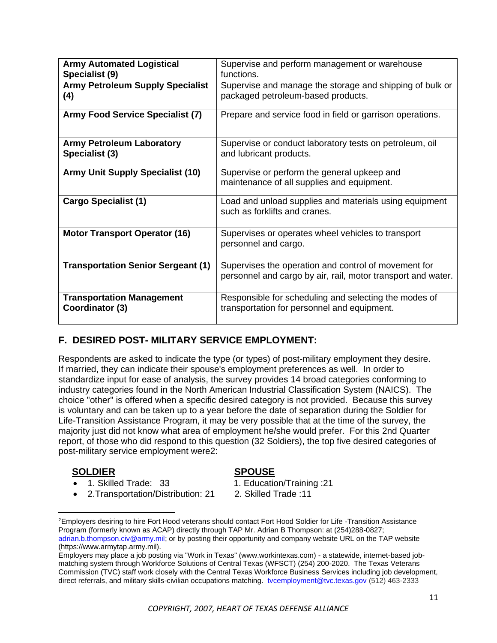| <b>Army Automated Logistical</b>                    | Supervise and perform management or warehouse                                                                        |
|-----------------------------------------------------|----------------------------------------------------------------------------------------------------------------------|
| Specialist (9)                                      | functions.                                                                                                           |
| <b>Army Petroleum Supply Specialist</b><br>(4)      | Supervise and manage the storage and shipping of bulk or<br>packaged petroleum-based products.                       |
| Army Food Service Specialist (7)                    | Prepare and service food in field or garrison operations.                                                            |
| <b>Army Petroleum Laboratory</b><br>Specialist (3)  | Supervise or conduct laboratory tests on petroleum, oil<br>and lubricant products.                                   |
| <b>Army Unit Supply Specialist (10)</b>             | Supervise or perform the general upkeep and<br>maintenance of all supplies and equipment.                            |
| <b>Cargo Specialist (1)</b>                         | Load and unload supplies and materials using equipment<br>such as forklifts and cranes.                              |
| <b>Motor Transport Operator (16)</b>                | Supervises or operates wheel vehicles to transport<br>personnel and cargo.                                           |
| <b>Transportation Senior Sergeant (1)</b>           | Supervises the operation and control of movement for<br>personnel and cargo by air, rail, motor transport and water. |
| <b>Transportation Management</b><br>Coordinator (3) | Responsible for scheduling and selecting the modes of<br>transportation for personnel and equipment.                 |

### **F. DESIRED POST- MILITARY SERVICE EMPLOYMENT:**

Respondents are asked to indicate the type (or types) of post-military employment they desire. If married, they can indicate their spouse's employment preferences as well. In order to standardize input for ease of analysis, the survey provides 14 broad categories conforming to industry categories found in the North American Industrial Classification System (NAICS). The choice "other" is offered when a specific desired category is not provided. Because this survey is voluntary and can be taken up to a year before the date of separation during the Soldier for Life-Transition Assistance Program, it may be very possible that at the time of the survey, the majority just did not know what area of employment he/she would prefer. For this 2nd Quarter report, of those who did respond to this question (32 Soldiers), the top five desired categories of post-military service employment were2:

#### **SOLDIER SPOUSE**

- 
- 2.Transportation/Distribution: 21 2. Skilled Trade :11

- 1. Skilled Trade: 33 1. Education/Training :21
	-

<sup>2</sup>Employers desiring to hire Fort Hood veterans should contact Fort Hood Soldier for Life -Transition Assistance Program (formerly known as ACAP) directly through TAP Mr. Adrian B Thompson: at (254)288-0827; adrian.b.thompson.civ@army.mil; or by posting their opportunity and company website URL on the TAP website (https://www.armytap.army.mil).

Employers may place a job posting via "Work in Texas" (www.workintexas.com) - a statewide, internet-based jobmatching system through Workforce Solutions of Central Texas (WFSCT) (254) 200-2020. The Texas Veterans Commission (TVC) staff work closely with the Central Texas Workforce Business Services including job development, direct referrals, and military skills-civilian occupations matching. tvcemployment@tvc.texas.gov (512) 463-2333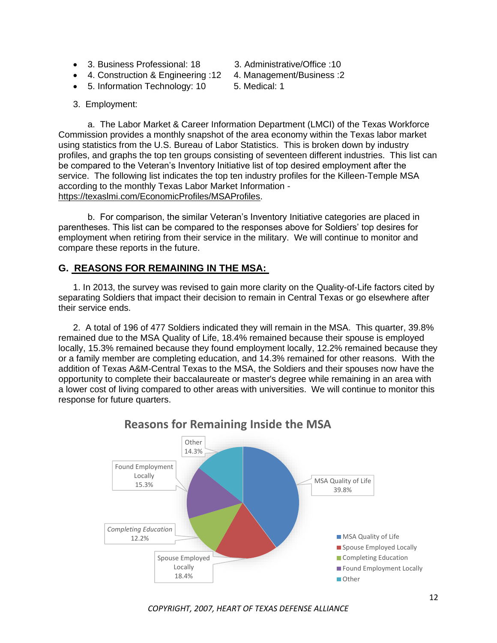- 3. Business Professional: 18 3. Administrative/Office : 10
- 4. Construction & Engineering :12 4. Management/Business :2
- 5. Information Technology: 10 5. Medical: 1
- 
- -
- 

3. Employment:

a. The Labor Market & Career Information Department (LMCI) of the Texas Workforce Commission provides a monthly snapshot of the area economy within the Texas labor market using statistics from the U.S. Bureau of Labor Statistics. This is broken down by industry profiles, and graphs the top ten groups consisting of seventeen different industries. This list can be compared to the Veteran's Inventory Initiative list of top desired employment after the service. The following list indicates the top ten industry profiles for the Killeen-Temple MSA according to the monthly Texas Labor Market Information https://texaslmi.com/EconomicProfiles/MSAProfiles.

b. For comparison, the similar Veteran's Inventory Initiative categories are placed in parentheses. This list can be compared to the responses above for Soldiers' top desires for employment when retiring from their service in the military. We will continue to monitor and compare these reports in the future.

#### **G. REASONS FOR REMAINING IN THE MSA:**

1. In 2013, the survey was revised to gain more clarity on the Quality-of-Life factors cited by separating Soldiers that impact their decision to remain in Central Texas or go elsewhere after their service ends.

2. A total of 196 of 477 Soldiers indicated they will remain in the MSA. This quarter, 39.8% remained due to the MSA Quality of Life, 18.4% remained because their spouse is employed locally, 15.3% remained because they found employment locally, 12.2% remained because they or a family member are completing education, and 14.3% remained for other reasons. With the addition of Texas A&M-Central Texas to the MSA, the Soldiers and their spouses now have the opportunity to complete their baccalaureate or master's degree while remaining in an area with a lower cost of living compared to other areas with universities. We will continue to monitor this response for future quarters.



# **Reasons for Remaining Inside the MSA**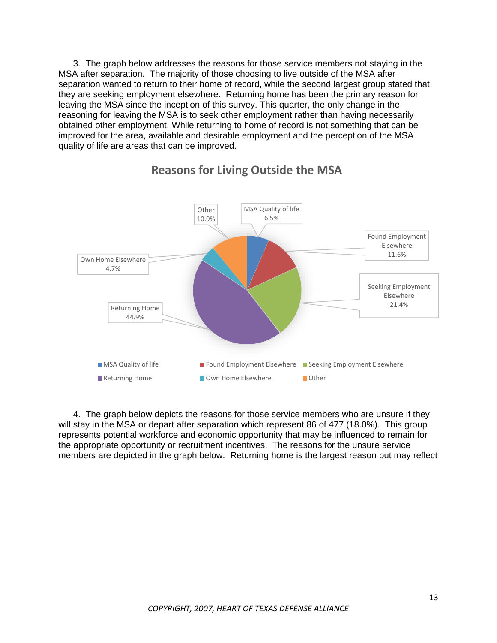3. The graph below addresses the reasons for those service members not staying in the MSA after separation. The majority of those choosing to live outside of the MSA after separation wanted to return to their home of record, while the second largest group stated that they are seeking employment elsewhere. Returning home has been the primary reason for leaving the MSA since the inception of this survey. This quarter, the only change in the reasoning for leaving the MSA is to seek other employment rather than having necessarily obtained other employment. While returning to home of record is not something that can be improved for the area, available and desirable employment and the perception of the MSA quality of life are areas that can be improved.



## **Reasons for Living Outside the MSA**

4. The graph below depicts the reasons for those service members who are unsure if they will stay in the MSA or depart after separation which represent 86 of 477 (18.0%). This group represents potential workforce and economic opportunity that may be influenced to remain for the appropriate opportunity or recruitment incentives. The reasons for the unsure service members are depicted in the graph below. Returning home is the largest reason but may reflect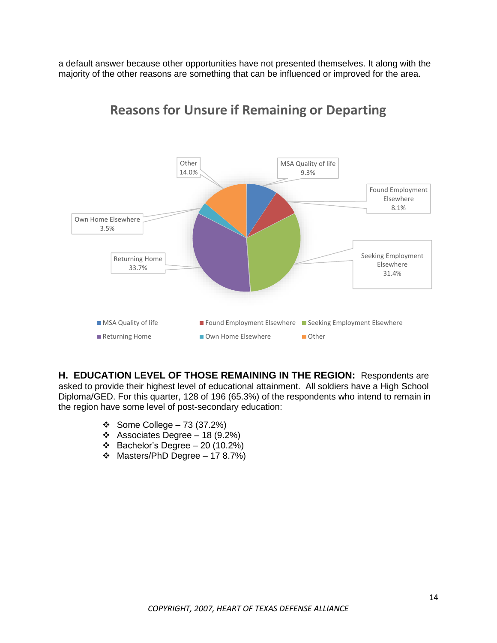a default answer because other opportunities have not presented themselves. It along with the majority of the other reasons are something that can be influenced or improved for the area.



# **Reasons for Unsure if Remaining or Departing**

**H. EDUCATION LEVEL OF THOSE REMAINING IN THE REGION:** Respondents are asked to provide their highest level of educational attainment. All soldiers have a High School Diploma/GED. For this quarter, 128 of 196 (65.3%) of the respondents who intend to remain in the region have some level of post-secondary education:

- ❖ Some College 73 (37.2%)
- ❖ Associates Degree 18 (9.2%)
- ❖ Bachelor's Degree 20 (10.2%)
- ❖ Masters/PhD Degree 17 8.7%)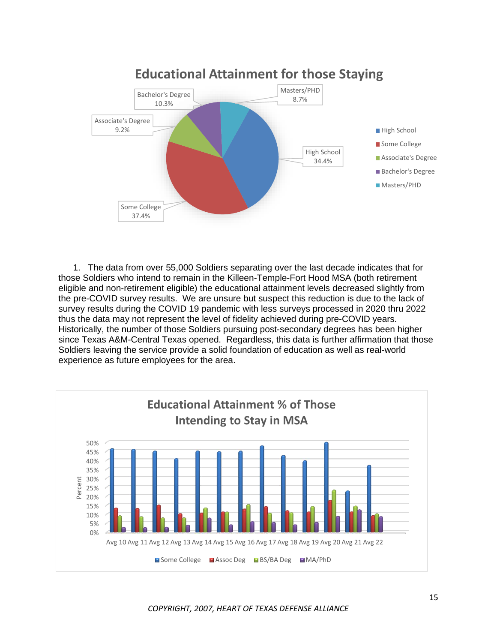

1. The data from over 55,000 Soldiers separating over the last decade indicates that for those Soldiers who intend to remain in the Killeen-Temple-Fort Hood MSA (both retirement eligible and non-retirement eligible) the educational attainment levels decreased slightly from the pre-COVID survey results. We are unsure but suspect this reduction is due to the lack of survey results during the COVID 19 pandemic with less surveys processed in 2020 thru 2022 thus the data may not represent the level of fidelity achieved during pre-COVID years. Historically, the number of those Soldiers pursuing post-secondary degrees has been higher since Texas A&M-Central Texas opened. Regardless, this data is further affirmation that those Soldiers leaving the service provide a solid foundation of education as well as real-world experience as future employees for the area.

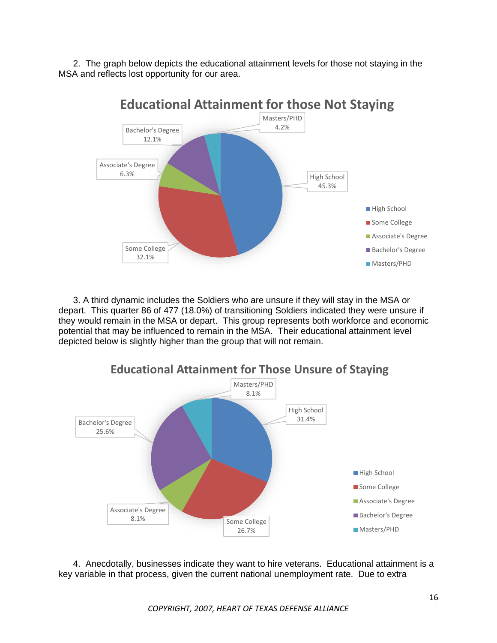2. The graph below depicts the educational attainment levels for those not staying in the MSA and reflects lost opportunity for our area.



3. A third dynamic includes the Soldiers who are unsure if they will stay in the MSA or depart. This quarter 86 of 477 (18.0%) of transitioning Soldiers indicated they were unsure if they would remain in the MSA or depart. This group represents both workforce and economic potential that may be influenced to remain in the MSA. Their educational attainment level depicted below is slightly higher than the group that will not remain.



4. Anecdotally, businesses indicate they want to hire veterans. Educational attainment is a key variable in that process, given the current national unemployment rate. Due to extra